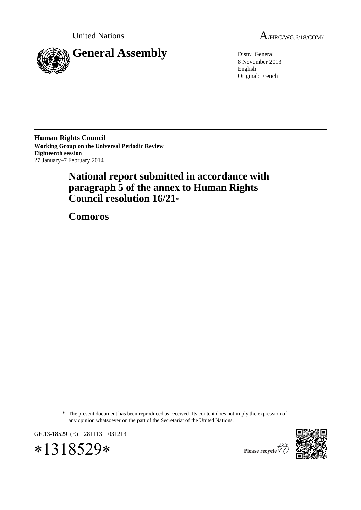

United Nations  $A_{HRC/WG.6/18/COM/1}$ 

8 November 2013 English Original: French

**Human Rights Council Working Group on the Universal Periodic Review Eighteenth session** 27 January–7 February 2014

# **National report submitted in accordance with paragraph 5 of the annex to Human Rights Council resolution 16/21**\*

**Comoros**

\* The present document has been reproduced as received. Its content does not imply the expression of any opinion whatsoever on the part of the Secretariat of the United Nations.

GE.13-18529 (E) 281113 031213





Please recycle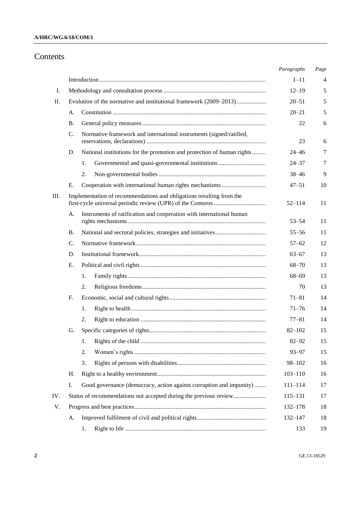# Contents

|     |    |                                                                        | Paragraphs  | Page |
|-----|----|------------------------------------------------------------------------|-------------|------|
|     |    |                                                                        | $1 - 11$    | 4    |
| I.  |    |                                                                        | $12 - 19$   | 5    |
| II. |    | Evolution of the normative and institutional framework (2009–2013)     | $20 - 51$   | 5    |
|     | A. |                                                                        |             | 5    |
|     | Β. |                                                                        |             | 6    |
|     | C. | Normative framework and international instruments (signed/ratified,    | 23          | 6    |
|     | D. | National institutions for the promotion and protection of human rights | $24 - 46$   | 7    |
|     |    | Governmental and quasi-governmental institutions<br>1.                 | $24 - 37$   | 7    |
|     |    | 2.                                                                     | $38 - 46$   | 9    |
|     | E. |                                                                        | $47 - 51$   | 10   |
| Ш.  |    | Implementation of recommendations and obligations resulting from the   | $52 - 114$  | 11   |
|     | А. | Instruments of ratification and cooperation with international human   | $53 - 54$   | 11   |
|     | Β. |                                                                        | $55 - 56$   | 11   |
|     | C. |                                                                        |             | 12   |
|     | D. |                                                                        |             | 13   |
|     | E. |                                                                        | $68 - 70$   | 13   |
|     |    | 1.                                                                     | $68 - 69$   | 13   |
|     |    | 2.                                                                     | 70          | 13   |
|     | F. |                                                                        | $71 - 81$   | 14   |
|     |    | 1.                                                                     | $71 - 76$   | 14   |
|     |    | 2.                                                                     | $77 - 81$   | 14   |
|     | G. |                                                                        | $82 - 102$  | 15   |
|     |    | 1.                                                                     | $82 - 92$   | 15   |
|     |    | 2.                                                                     | $93 - 97$   | 15   |
|     |    | 3.                                                                     | 98-102      | 16   |
|     | Η. |                                                                        | $103 - 110$ | 16   |
|     | Ι. | Good governance (democracy, action against corruption and impunity)    | $111 - 114$ | 17   |
| IV. |    | Status of recommendations not accepted during the previous review      | $115 - 131$ | 17   |
| V.  |    |                                                                        | 132-178     | 18   |
|     | A. |                                                                        | 132-147     | 18   |
|     |    | 1.                                                                     | 133         | 19   |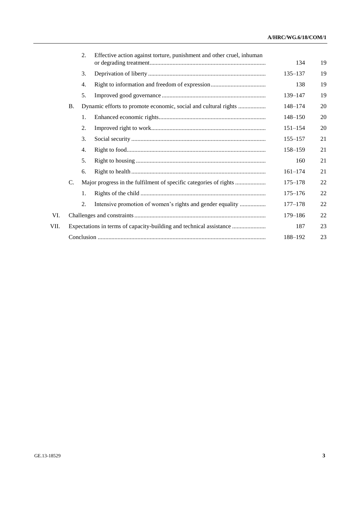|      |                                                                            | 2. | Effective action against torture, punishment and other cruel, inhuman | 134         | 19 |
|------|----------------------------------------------------------------------------|----|-----------------------------------------------------------------------|-------------|----|
|      |                                                                            | 3. |                                                                       | $135 - 137$ | 19 |
|      |                                                                            | 4. |                                                                       | 138         | 19 |
|      |                                                                            | 5. |                                                                       | 139-147     | 19 |
|      | <b>B.</b>                                                                  |    | Dynamic efforts to promote economic, social and cultural rights       | 148-174     | 20 |
|      |                                                                            | 1. |                                                                       | 148-150     | 20 |
|      |                                                                            | 2. |                                                                       | $151 - 154$ | 20 |
|      |                                                                            | 3. |                                                                       | $155 - 157$ | 21 |
|      |                                                                            | 4. |                                                                       | 158-159     | 21 |
|      |                                                                            | 5. |                                                                       | 160         | 21 |
|      |                                                                            | 6. |                                                                       | $161 - 174$ | 21 |
|      | C.                                                                         |    |                                                                       | $175 - 178$ | 22 |
|      |                                                                            | 1. |                                                                       | $175 - 176$ | 22 |
|      |                                                                            | 2. | Intensive promotion of women's rights and gender equality             | $177 - 178$ | 22 |
| VI.  |                                                                            |    | 179-186                                                               | 22          |    |
| VII. | Expectations in terms of capacity-building and technical assistance<br>187 |    |                                                                       |             |    |
|      |                                                                            |    | 188-192                                                               | 23          |    |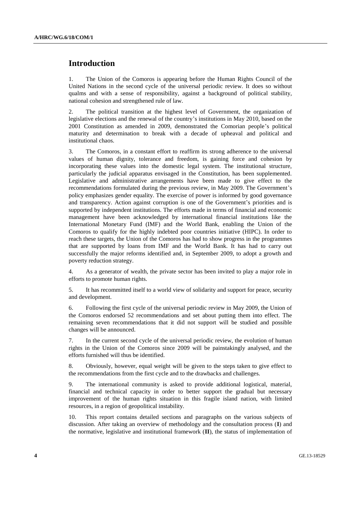# **Introduction**

1. The Union of the Comoros is appearing before the Human Rights Council of the United Nations in the second cycle of the universal periodic review. It does so without qualms and with a sense of responsibility, against a background of political stability, national cohesion and strengthened rule of law.

2. The political transition at the highest level of Government, the organization of legislative elections and the renewal of the country's institutions in May 2010, based on the 2001 Constitution as amended in 2009, demonstrated the Comorian people's political maturity and determination to break with a decade of upheaval and political and institutional chaos.

3. The Comoros, in a constant effort to reaffirm its strong adherence to the universal values of human dignity, tolerance and freedom, is gaining force and cohesion by incorporating these values into the domestic legal system. The institutional structure, particularly the judicial apparatus envisaged in the Constitution, has been supplemented. Legislative and administrative arrangements have been made to give effect to the recommendations formulated during the previous review, in May 2009. The Government's policy emphasizes gender equality. The exercise of power is informed by good governance and transparency. Action against corruption is one of the Government's priorities and is supported by independent institutions. The efforts made in terms of financial and economic management have been acknowledged by international financial institutions like the International Monetary Fund (IMF) and the World Bank, enabling the Union of the Comoros to qualify for the highly indebted poor countries initiative (HIPC). In order to reach these targets, the Union of the Comoros has had to show progress in the programmes that are supported by loans from IMF and the World Bank. It has had to carry out successfully the major reforms identified and, in September 2009, to adopt a growth and poverty reduction strategy.

4. As a generator of wealth, the private sector has been invited to play a major role in efforts to promote human rights.

5. It has recommitted itself to a world view of solidarity and support for peace, security and development.

6. Following the first cycle of the universal periodic review in May 2009, the Union of the Comoros endorsed 52 recommendations and set about putting them into effect. The remaining seven recommendations that it did not support will be studied and possible changes will be announced.

7. In the current second cycle of the universal periodic review, the evolution of human rights in the Union of the Comoros since 2009 will be painstakingly analysed, and the efforts furnished will thus be identified.

8. Obviously, however, equal weight will be given to the steps taken to give effect to the recommendations from the first cycle and to the drawbacks and challenges.

9. The international community is asked to provide additional logistical, material, financial and technical capacity in order to better support the gradual but necessary improvement of the human rights situation in this fragile island nation, with limited resources, in a region of geopolitical instability.

10. This report contains detailed sections and paragraphs on the various subjects of discussion. After taking an overview of methodology and the consultation process (**I**) and the normative, legislative and institutional framework (**II**), the status of implementation of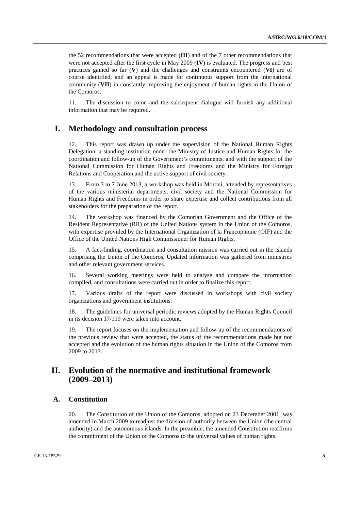the 52 recommendations that were accepted (**III**) and of the 7 other recommendations that were not accepted after the first cycle in May 2009 (**IV**) is evaluated. The progress and best practices gained so far (**V**) and the challenges and constraints encountered (**VI**) are of course identified, and an appeal is made for continuous support from the international community (**VII**) in constantly improving the enjoyment of human rights in the Union of the Comoros.

11. The discussion to come and the subsequent dialogue will furnish any additional information that may be required.

# **I. Methodology and consultation process**

12. This report was drawn up under the supervision of the National Human Rights Delegation, a standing institution under the Ministry of Justice and Human Rights for the coordination and follow-up of the Government's commitments, and with the support of the National Commission for Human Rights and Freedoms and the Ministry for Foreign Relations and Cooperation and the active support of civil society.

13. From 3 to 7 June 2013, a workshop was held in Moroni, attended by representatives of the various ministerial departments, civil society and the National Commission for Human Rights and Freedoms in order to share expertise and collect contributions from all stakeholders for the preparation of the report.

14. The workshop was financed by the Comorian Government and the Office of the Resident Representative (RR) of the United Nations system in the Union of the Comoros, with expertise provided by the International Organization of la Francophonie (OIF) and the Office of the United Nations High Commissioner for Human Rights.

15. A fact-finding, coordination and consultation mission was carried out in the islands comprising the Union of the Comoros. Updated information was gathered from ministries and other relevant government services.

16. Several working meetings were held to analyse and compare the information compiled, and consultations were carried out in order to finalize this report.

17. Various drafts of the report were discussed in workshops with civil society organizations and government institutions.

18. The guidelines for universal periodic reviews adopted by the Human Rights Council in its decision 17/119 were taken into account.

19. The report focuses on the implementation and follow-up of the recommendations of the previous review that were accepted, the status of the recommendations made but not accepted and the evolution of the human rights situation in the Union of the Comoros from 2009 to 2013.

# **II. Evolution of the normative and institutional framework (2009–2013)**

### **A. Constitution**

20. The Constitution of the Union of the Comoros, adopted on 23 December 2001, was amended in March 2009 to readjust the division of authority between the Union (the central authority) and the autonomous islands. In the preamble, the amended Constitution reaffirms the commitment of the Union of the Comoros to the universal values of human rights.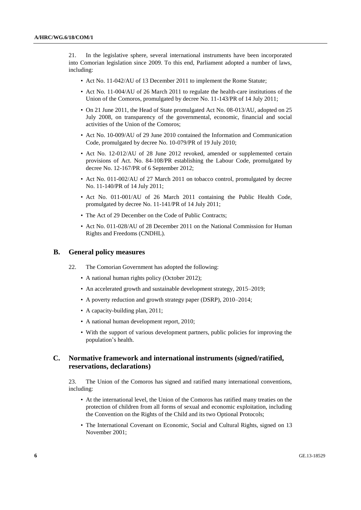21. In the legislative sphere, several international instruments have been incorporated into Comorian legislation since 2009. To this end, Parliament adopted a number of laws, including:

- Act No. 11-042/AU of 13 December 2011 to implement the Rome Statute;
- Act No. 11-004/AU of 26 March 2011 to regulate the health-care institutions of the Union of the Comoros, promulgated by decree No. 11-143/PR of 14 July 2011;
- On 21 June 2011, the Head of State promulgated Act No. 08-013/AU, adopted on 25 July 2008, on transparency of the governmental, economic, financial and social activities of the Union of the Comoros;
- Act No. 10-009/AU of 29 June 2010 contained the Information and Communication Code, promulgated by decree No. 10-079/PR of 19 July 2010;
- Act No. 12-012/AU of 28 June 2012 revoked, amended or supplemented certain provisions of Act. No. 84-108/PR establishing the Labour Code, promulgated by decree No. 12-167/PR of 6 September 2012;
- Act No. 011-002/AU of 27 March 2011 on tobacco control, promulgated by decree No. 11-140/PR of 14 July 2011;
- Act No. 011-001/AU of 26 March 2011 containing the Public Health Code, promulgated by decree No. 11-141/PR of 14 July 2011;
- The Act of 29 December on the Code of Public Contracts;
- Act No. 011-028/AU of 28 December 2011 on the National Commission for Human Rights and Freedoms (CNDHL).

### **B. General policy measures**

- 22. The Comorian Government has adopted the following:
	- A national human rights policy (October 2012);
	- An accelerated growth and sustainable development strategy, 2015–2019;
	- A poverty reduction and growth strategy paper (DSRP), 2010–2014;
	- A capacity-building plan, 2011;
	- A national human development report, 2010;
	- With the support of various development partners, public policies for improving the population's health.

### **C. Normative framework and international instruments (signed/ratified, reservations, declarations)**

23. The Union of the Comoros has signed and ratified many international conventions, including:

- At the international level, the Union of the Comoros has ratified many treaties on the protection of children from all forms of sexual and economic exploitation, including the Convention on the Rights of the Child and its two Optional Protocols;
- The International Covenant on Economic, Social and Cultural Rights, signed on 13 November 2001;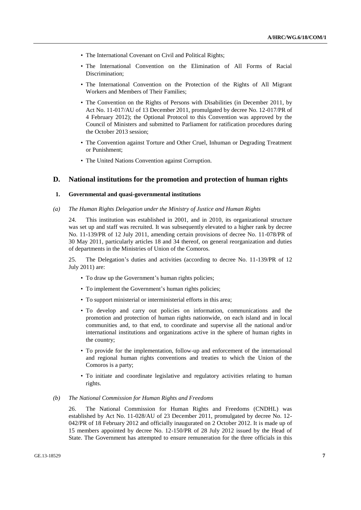- The International Covenant on Civil and Political Rights;
- The International Convention on the Elimination of All Forms of Racial Discrimination;
- The International Convention on the Protection of the Rights of All Migrant Workers and Members of Their Families;
- The Convention on the Rights of Persons with Disabilities (in December 2011, by Act No. 11-017/AU of 13 December 2011, promulgated by decree No. 12-017/PR of 4 February 2012); the Optional Protocol to this Convention was approved by the Council of Ministers and submitted to Parliament for ratification procedures during the October 2013 session;
- The Convention against Torture and Other Cruel, Inhuman or Degrading Treatment or Punishment;
- The United Nations Convention against Corruption.

### **D. National institutions for the promotion and protection of human rights**

#### **1. Governmental and quasi-governmental institutions**

*(a) The Human Rights Delegation under the Ministry of Justice and Human Rights* 

24. This institution was established in 2001, and in 2010, its organizational structure was set up and staff was recruited. It was subsequently elevated to a higher rank by decree No. 11-139/PR of 12 July 2011, amending certain provisions of decree No. 11-078/PR of 30 May 2011, particularly articles 18 and 34 thereof, on general reorganization and duties of departments in the Ministries of Union of the Comoros.

25. The Delegation's duties and activities (according to decree No. 11-139/PR of 12 July 2011) are:

- To draw up the Government's human rights policies;
- To implement the Government's human rights policies;
- To support ministerial or interministerial efforts in this area;
- To develop and carry out policies on information, communications and the promotion and protection of human rights nationwide, on each island and in local communities and, to that end, to coordinate and supervise all the national and/or international institutions and organizations active in the sphere of human rights in the country;
- To provide for the implementation, follow-up and enforcement of the international and regional human rights conventions and treaties to which the Union of the Comoros is a party;
- To initiate and coordinate legislative and regulatory activities relating to human rights.
- *(b) The National Commission for Human Rights and Freedoms*

26. The National Commission for Human Rights and Freedoms (CNDHL) was established by Act No. 11-028/AU of 23 December 2011, promulgated by decree No. 12- 042/PR of 18 February 2012 and officially inaugurated on 2 October 2012. It is made up of 15 members appointed by decree No. 12-150/PR of 28 July 2012 issued by the Head of State. The Government has attempted to ensure remuneration for the three officials in this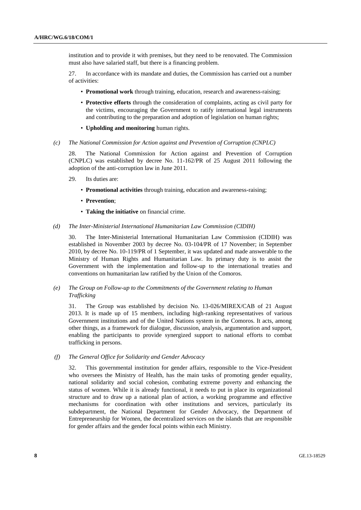institution and to provide it with premises, but they need to be renovated. The Commission must also have salaried staff, but there is a financing problem.

27. In accordance with its mandate and duties, the Commission has carried out a number of activities:

- **Promotional work** through training, education, research and awareness-raising;
- **Protective efforts** through the consideration of complaints, acting as civil party for the victims, encouraging the Government to ratify international legal instruments and contributing to the preparation and adoption of legislation on human rights;
- **Upholding and monitoring** human rights.
- *(c) The National Commission for Action against and Prevention of Corruption (CNPLC)*

28. The National Commission for Action against and Prevention of Corruption (CNPLC) was established by decree No. 11-162/PR of 25 August 2011 following the adoption of the anti-corruption law in June 2011.

- 29. Its duties are:
	- **Promotional activities** through training, education and awareness-raising;
	- **Prevention**;
	- **Taking the initiative** on financial crime.

#### *(d) The Inter-Ministerial International Humanitarian Law Commission (CIDIH)*

30. The Inter-Ministerial International Humanitarian Law Commission (CIDIH) was established in November 2003 by decree No. 03-104/PR of 17 November; in September 2010, by decree No. 10-119/PR of 1 September, it was updated and made answerable to the Ministry of Human Rights and Humanitarian Law. Its primary duty is to assist the Government with the implementation and follow-up to the international treaties and conventions on humanitarian law ratified by the Union of the Comoros.

### *(e) The Group on Follow-up to the Commitments of the Government relating to Human Trafficking*

31. The Group was established by decision No. 13-026/MIREX/CAB of 21 August 2013. It is made up of 15 members, including high-ranking representatives of various Government institutions and of the United Nations system in the Comoros. It acts, among other things, as a framework for dialogue, discussion, analysis, argumentation and support, enabling the participants to provide synergized support to national efforts to combat trafficking in persons.

### *(f) The General Office for Solidarity and Gender Advocacy*

32. This governmental institution for gender affairs, responsible to the Vice-President who oversees the Ministry of Health, has the main tasks of promoting gender equality, national solidarity and social cohesion, combating extreme poverty and enhancing the status of women. While it is already functional, it needs to put in place its organizational structure and to draw up a national plan of action, a working programme and effective mechanisms for coordination with other institutions and services, particularly its subdepartment, the National Department for Gender Advocacy, the Department of Entrepreneurship for Women, the decentralized services on the islands that are responsible for gender affairs and the gender focal points within each Ministry.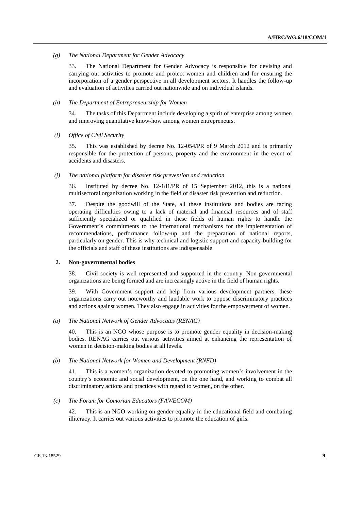#### *(g) The National Department for Gender Advocacy*

33. The National Department for Gender Advocacy is responsible for devising and carrying out activities to promote and protect women and children and for ensuring the incorporation of a gender perspective in all development sectors. It handles the follow-up and evaluation of activities carried out nationwide and on individual islands.

#### *(h) The Department of Entrepreneurship for Women*

34. The tasks of this Department include developing a spirit of enterprise among women and improving quantitative know-how among women entrepreneurs.

#### *(i) Office of Civil Security*

35. This was established by decree No. 12-054/PR of 9 March 2012 and is primarily responsible for the protection of persons, property and the environment in the event of accidents and disasters.

### *(j) The national platform for disaster risk prevention and reduction*

36. Instituted by decree No. 12-181/PR of 15 September 2012, this is a national multisectoral organization working in the field of disaster risk prevention and reduction.

37. Despite the goodwill of the State, all these institutions and bodies are facing operating difficulties owing to a lack of material and financial resources and of staff sufficiently specialized or qualified in these fields of human rights to handle the Government's commitments to the international mechanisms for the implementation of recommendations, performance follow-up and the preparation of national reports, particularly on gender. This is why technical and logistic support and capacity-building for the officials and staff of these institutions are indispensable.

#### **2. Non-governmental bodies**

38. Civil society is well represented and supported in the country. Non-governmental organizations are being formed and are increasingly active in the field of human rights.

39. With Government support and help from various development partners, these organizations carry out noteworthy and laudable work to oppose discriminatory practices and actions against women. They also engage in activities for the empowerment of women.

#### *(a) The National Network of Gender Advocates (RENAG)*

40. This is an NGO whose purpose is to promote gender equality in decision-making bodies. RENAG carries out various activities aimed at enhancing the representation of women in decision-making bodies at all levels.

#### *(b) The National Network for Women and Development (RNFD)*

41. This is a women's organization devoted to promoting women's involvement in the country's economic and social development, on the one hand, and working to combat all discriminatory actions and practices with regard to women, on the other.

#### *(c) The Forum for Comorian Educators (FAWECOM)*

42. This is an NGO working on gender equality in the educational field and combating illiteracy. It carries out various activities to promote the education of girls.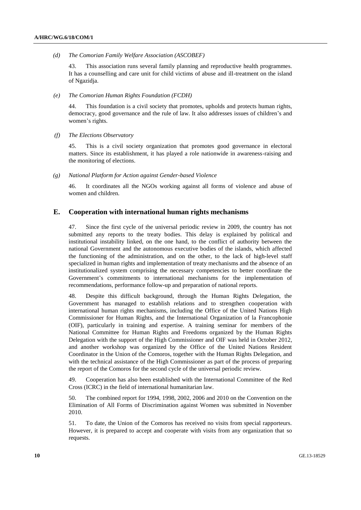#### *(d) The Comorian Family Welfare Association (ASCOBEF)*

43. This association runs several family planning and reproductive health programmes. It has a counselling and care unit for child victims of abuse and ill-treatment on the island of Ngazidja.

#### *(e) The Comorian Human Rights Foundation (FCDH)*

44. This foundation is a civil society that promotes, upholds and protects human rights, democracy, good governance and the rule of law. It also addresses issues of children's and women's rights.

#### *(f) The Elections Observatory*

45. This is a civil society organization that promotes good governance in electoral matters. Since its establishment, it has played a role nationwide in awareness-raising and the monitoring of elections.

### *(g) National Platform for Action against Gender-based Violence*

46. It coordinates all the NGOs working against all forms of violence and abuse of women and children.

### **E. Cooperation with international human rights mechanisms**

47. Since the first cycle of the universal periodic review in 2009, the country has not submitted any reports to the treaty bodies. This delay is explained by political and institutional instability linked, on the one hand, to the conflict of authority between the national Government and the autonomous executive bodies of the islands, which affected the functioning of the administration, and on the other, to the lack of high-level staff specialized in human rights and implementation of treaty mechanisms and the absence of an institutionalized system comprising the necessary competencies to better coordinate the Government's commitments to international mechanisms for the implementation of recommendations, performance follow-up and preparation of national reports.

48. Despite this difficult background, through the Human Rights Delegation, the Government has managed to establish relations and to strengthen cooperation with international human rights mechanisms, including the Office of the United Nations High Commissioner for Human Rights, and the International Organization of la Francophonie (OIF), particularly in training and expertise. A training seminar for members of the National Committee for Human Rights and Freedoms organized by the Human Rights Delegation with the support of the High Commissioner and OIF was held in October 2012, and another workshop was organized by the Office of the United Nations Resident Coordinator in the Union of the Comoros, together with the Human Rights Delegation, and with the technical assistance of the High Commissioner as part of the process of preparing the report of the Comoros for the second cycle of the universal periodic review.

49. Cooperation has also been established with the International Committee of the Red Cross (ICRC) in the field of international humanitarian law.

50. The combined report for 1994, 1998, 2002, 2006 and 2010 on the Convention on the Elimination of All Forms of Discrimination against Women was submitted in November 2010.

51. To date, the Union of the Comoros has received no visits from special rapporteurs. However, it is prepared to accept and cooperate with visits from any organization that so requests.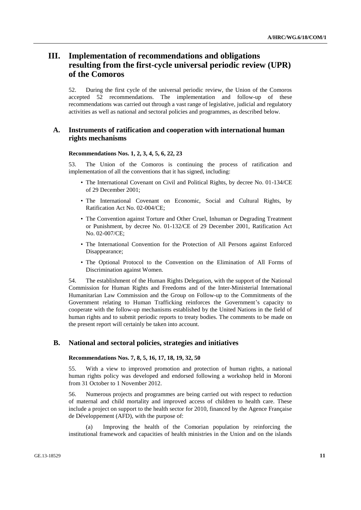# **III. Implementation of recommendations and obligations resulting from the first-cycle universal periodic review (UPR) of the Comoros**

52. During the first cycle of the universal periodic review, the Union of the Comoros accepted 52 recommendations. The implementation and follow-up of these recommendations was carried out through a vast range of legislative, judicial and regulatory activities as well as national and sectoral policies and programmes, as described below.

### **A. Instruments of ratification and cooperation with international human rights mechanisms**

#### **Recommendations Nos. 1, 2, 3, 4, 5, 6, 22, 23**

53. The Union of the Comoros is continuing the process of ratification and implementation of all the conventions that it has signed, including:

- The International Covenant on Civil and Political Rights, by decree No. 01-134/CE of 29 December 2001;
- The International Covenant on Economic, Social and Cultural Rights, by Ratification Act No. 02-004/CE;
- The Convention against Torture and Other Cruel, Inhuman or Degrading Treatment or Punishment, by decree No. 01-132/CE of 29 December 2001, Ratification Act No. 02-007/CE;
- The International Convention for the Protection of All Persons against Enforced Disappearance;
- The Optional Protocol to the Convention on the Elimination of All Forms of Discrimination against Women.

54. The establishment of the Human Rights Delegation, with the support of the National Commission for Human Rights and Freedoms and of the Inter-Ministerial International Humanitarian Law Commission and the Group on Follow-up to the Commitments of the Government relating to Human Trafficking reinforces the Government's capacity to cooperate with the follow-up mechanisms established by the United Nations in the field of human rights and to submit periodic reports to treaty bodies. The comments to be made on the present report will certainly be taken into account.

### **B. National and sectoral policies, strategies and initiatives**

### **Recommendations Nos. 7, 8, 5, 16, 17, 18, 19, 32, 50**

55. With a view to improved promotion and protection of human rights, a national human rights policy was developed and endorsed following a workshop held in Moroni from 31 October to 1 November 2012.

56. Numerous projects and programmes are being carried out with respect to reduction of maternal and child mortality and improved access of children to health care. These include a project on support to the health sector for 2010, financed by the Agence Française de Développement (AFD), with the purpose of:

(a) Improving the health of the Comorian population by reinforcing the institutional framework and capacities of health ministries in the Union and on the islands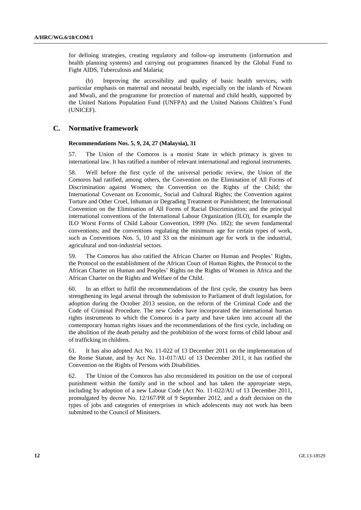for defining strategies, creating regulatory and follow-up instruments (information and health planning systems) and carrying out programmes financed by the Global Fund to Fight AIDS, Tuberculosis and Malaria;

(b) Improving the accessibility and quality of basic health services, with particular emphasis on maternal and neonatal health, especially on the islands of Nzwani and Mwali, and the programme for protection of maternal and child health, supported by the United Nations Population Fund (UNFPA) and the United Nations Children's Fund (UNICEF).

### **C. Normative framework**

#### **Recommendations Nos. 5, 9, 24, 27 (Malaysia), 31**

57. The Union of the Comoros is a monist State in which primacy is given to international law. It has ratified a number of relevant international and regional instruments.

58. Well before the first cycle of the universal periodic review, the Union of the Comoros had ratified, among others, the Convention on the Elimination of All Forms of Discrimination against Women; the Convention on the Rights of the Child; the International Covenant on Economic, Social and Cultural Rights; the Convention against Torture and Other Cruel, Inhuman or Degrading Treatment or Punishment; the International Convention on the Elimination of All Forms of Racial Discrimination; and the principal international conventions of the International Labour Organization (ILO), for example the ILO Worst Forms of Child Labour Convention, 1999 (No. 182); the seven fundamental conventions; and the conventions regulating the minimum age for certain types of work, such as Conventions Nos. 5, 10 and 33 on the minimum age for work in the industrial, agricultural and non-industrial sectors.

59. The Comoros has also ratified the African Charter on Human and Peoples' Rights, the Protocol on the establishment of the African Court of Human Rights, the Protocol to the African Charter on Human and Peoples' Rights on the Rights of Women in Africa and the African Charter on the Rights and Welfare of the Child.

60. In an effort to fulfil the recommendations of the first cycle, the country has been strengthening its legal arsenal through the submission to Parliament of draft legislation, for adoption during the October 2013 session, on the reform of the Criminal Code and the Code of Criminal Procedure. The new Codes have incorporated the international human rights instruments to which the Comoros is a party and have taken into account all the contemporary human rights issues and the recommendations of the first cycle, including on the abolition of the death penalty and the prohibition of the worst forms of child labour and of trafficking in children.

61. It has also adopted Act No. 11-022 of 13 December 2011 on the implementation of the Rome Statute, and by Act No. 11-017/AU of 13 December 2011, it has ratified the Convention on the Rights of Persons with Disabilities.

62. The Union of the Comoros has also reconsidered its position on the use of corporal punishment within the family and in the school and has taken the appropriate steps, including by adoption of a new Labour Code (Act No. 11-022/AU of 13 December 2011, promulgated by decree No. 12/167/PR of 9 September 2012, and a draft decision on the types of jobs and categories of enterprises in which adolescents may not work has been submitted to the Council of Ministers.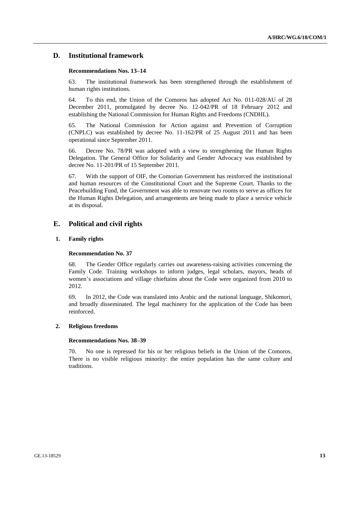### **D. Institutional framework**

### **Recommendations Nos. 13–14**

63. The institutional framework has been strengthened through the establishment of human rights institutions.

64. To this end, the Union of the Comoros has adopted Act No. 011-028/AU of 28 December 2011, promulgated by decree No. 12-042/PR of 18 February 2012 and establishing the National Commission for Human Rights and Freedoms (CNDHL).

65. The National Commission for Action against and Prevention of Corruption (CNPLC) was established by decree No. 11-162/PR of 25 August 2011 and has been operational since September 2011.

66. Decree No. 78/PR was adopted with a view to strengthening the Human Rights Delegation. The General Office for Solidarity and Gender Advocacy was established by decree No. 11-201/PR of 15 September 2011.

67. With the support of OIF, the Comorian Government has reinforced the institutional and human resources of the Constitutional Court and the Supreme Court. Thanks to the Peacebuilding Fund, the Government was able to renovate two rooms to serve as offices for the Human Rights Delegation, and arrangements are being made to place a service vehicle at its disposal.

### **E. Political and civil rights**

### **1. Family rights**

### **Recommendation No. 37**

68. The Gender Office regularly carries out awareness-raising activities concerning the Family Code. Training workshops to inform judges, legal scholars, mayors, heads of women's associations and village chieftains about the Code were organized from 2010 to 2012.

69. In 2012, the Code was translated into Arabic and the national language, Shikomori, and broadly disseminated. The legal machinery for the application of the Code has been reinforced.

### **2. Religious freedoms**

#### **Recommendations Nos. 38–39**

70. No one is repressed for his or her religious beliefs in the Union of the Comoros. There is no visible religious minority: the entire population has the same culture and traditions.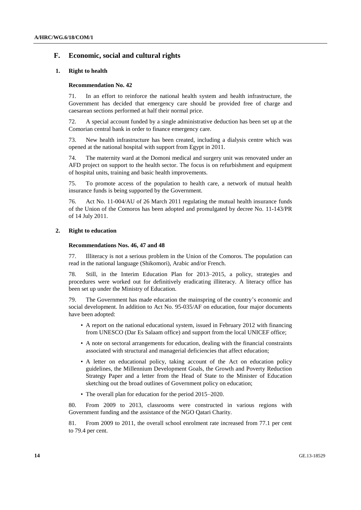### **F. Economic, social and cultural rights**

#### **1. Right to health**

#### **Recommendation No. 42**

71. In an effort to reinforce the national health system and health infrastructure, the Government has decided that emergency care should be provided free of charge and caesarean sections performed at half their normal price.

72. A special account funded by a single administrative deduction has been set up at the Comorian central bank in order to finance emergency care.

73. New health infrastructure has been created, including a dialysis centre which was opened at the national hospital with support from Egypt in 2011.

74. The maternity ward at the Domoni medical and surgery unit was renovated under an AFD project on support to the health sector. The focus is on refurbishment and equipment of hospital units, training and basic health improvements.

75. To promote access of the population to health care, a network of mutual health insurance funds is being supported by the Government.

76. Act No. 11-004/AU of 26 March 2011 regulating the mutual health insurance funds of the Union of the Comoros has been adopted and promulgated by decree No. 11-143/PR of 14 July 2011.

#### **2. Right to education**

#### **Recommendations Nos. 46, 47 and 48**

77. Illiteracy is not a serious problem in the Union of the Comoros. The population can read in the national language (Shikomori), Arabic and/or French.

78. Still, in the Interim Education Plan for 2013–2015, a policy, strategies and procedures were worked out for definitively eradicating illiteracy. A literacy office has been set up under the Ministry of Education.

79. The Government has made education the mainspring of the country's economic and social development. In addition to Act No. 95-035/AF on education, four major documents have been adopted:

- A report on the national educational system, issued in February 2012 with financing from UNESCO (Dar Es Salaam office) and support from the local UNICEF office;
- A note on sectoral arrangements for education, dealing with the financial constraints associated with structural and managerial deficiencies that affect education;
- A letter on educational policy, taking account of the Act on education policy guidelines, the Millennium Development Goals, the Growth and Poverty Reduction Strategy Paper and a letter from the Head of State to the Minister of Education sketching out the broad outlines of Government policy on education;
- The overall plan for education for the period 2015–2020.

80. From 2009 to 2013, classrooms were constructed in various regions with Government funding and the assistance of the NGO Qatari Charity.

81. From 2009 to 2011, the overall school enrolment rate increased from 77.1 per cent to 79.4 per cent.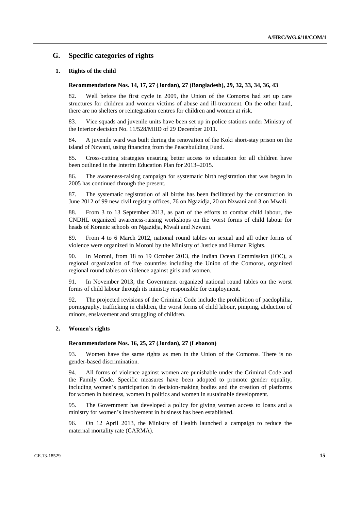### **G. Specific categories of rights**

#### **1. Rights of the child**

#### **Recommendations Nos. 14, 17, 27 (Jordan), 27 (Bangladesh), 29, 32, 33, 34, 36, 43**

82. Well before the first cycle in 2009, the Union of the Comoros had set up care structures for children and women victims of abuse and ill-treatment. On the other hand, there are no shelters or reintegration centres for children and women at risk.

83. Vice squads and juvenile units have been set up in police stations under Ministry of the Interior decision No. 11/528/MIID of 29 December 2011.

84. A juvenile ward was built during the renovation of the Koki short-stay prison on the island of Nzwani, using financing from the Peacebuilding Fund.

85. Cross-cutting strategies ensuring better access to education for all children have been outlined in the Interim Education Plan for 2013–2015.

86. The awareness-raising campaign for systematic birth registration that was begun in 2005 has continued through the present.

87. The systematic registration of all births has been facilitated by the construction in June 2012 of 99 new civil registry offices, 76 on Ngazidja, 20 on Nzwani and 3 on Mwali.

88. From 3 to 13 September 2013, as part of the efforts to combat child labour, the CNDHL organized awareness-raising workshops on the worst forms of child labour for heads of Koranic schools on Ngazidja, Mwali and Nzwani.

89. From 4 to 6 March 2012, national round tables on sexual and all other forms of violence were organized in Moroni by the Ministry of Justice and Human Rights.

90. In Moroni, from 18 to 19 October 2013, the Indian Ocean Commission (IOC), a regional organization of five countries including the Union of the Comoros, organized regional round tables on violence against girls and women.

91. In November 2013, the Government organized national round tables on the worst forms of child labour through its ministry responsible for employment.

92. The projected revisions of the Criminal Code include the prohibition of paedophilia, pornography, trafficking in children, the worst forms of child labour, pimping, abduction of minors, enslavement and smuggling of children.

### **2. Women's rights**

#### **Recommendations Nos. 16, 25, 27 (Jordan), 27 (Lebanon)**

93. Women have the same rights as men in the Union of the Comoros. There is no gender-based discrimination.

94. All forms of violence against women are punishable under the Criminal Code and the Family Code. Specific measures have been adopted to promote gender equality, including women's participation in decision-making bodies and the creation of platforms for women in business, women in politics and women in sustainable development.

95. The Government has developed a policy for giving women access to loans and a ministry for women's involvement in business has been established.

96. On 12 April 2013, the Ministry of Health launched a campaign to reduce the maternal mortality rate (CARMA).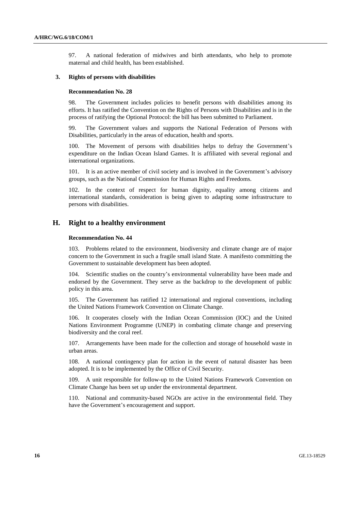97. A national federation of midwives and birth attendants, who help to promote maternal and child health, has been established.

#### **3. Rights of persons with disabilities**

#### **Recommendation No. 28**

98. The Government includes policies to benefit persons with disabilities among its efforts. It has ratified the Convention on the Rights of Persons with Disabilities and is in the process of ratifying the Optional Protocol: the bill has been submitted to Parliament.

99. The Government values and supports the National Federation of Persons with Disabilities, particularly in the areas of education, health and sports.

The Movement of persons with disabilities helps to defray the Government's expenditure on the Indian Ocean Island Games. It is affiliated with several regional and international organizations.

101. It is an active member of civil society and is involved in the Government's advisory groups, such as the National Commission for Human Rights and Freedoms.

102. In the context of respect for human dignity, equality among citizens and international standards, consideration is being given to adapting some infrastructure to persons with disabilities.

### **H. Right to a healthy environment**

#### **Recommendation No. 44**

103. Problems related to the environment, biodiversity and climate change are of major concern to the Government in such a fragile small island State. A manifesto committing the Government to sustainable development has been adopted.

104. Scientific studies on the country's environmental vulnerability have been made and endorsed by the Government. They serve as the backdrop to the development of public policy in this area.

105. The Government has ratified 12 international and regional conventions, including the United Nations Framework Convention on Climate Change.

106. It cooperates closely with the Indian Ocean Commission (IOC) and the United Nations Environment Programme (UNEP) in combating climate change and preserving biodiversity and the coral reef.

107. Arrangements have been made for the collection and storage of household waste in urban areas.

108. A national contingency plan for action in the event of natural disaster has been adopted. It is to be implemented by the Office of Civil Security.

109. A unit responsible for follow-up to the United Nations Framework Convention on Climate Change has been set up under the environmental department.

110. National and community-based NGOs are active in the environmental field. They have the Government's encouragement and support.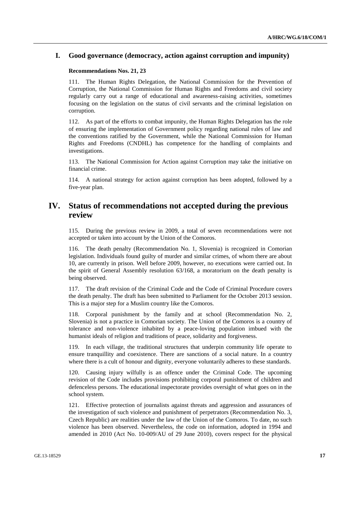### **I. Good governance (democracy, action against corruption and impunity)**

#### **Recommendations Nos. 21, 23**

111. The Human Rights Delegation, the National Commission for the Prevention of Corruption, the National Commission for Human Rights and Freedoms and civil society regularly carry out a range of educational and awareness-raising activities, sometimes focusing on the legislation on the status of civil servants and the criminal legislation on corruption.

112. As part of the efforts to combat impunity, the Human Rights Delegation has the role of ensuring the implementation of Government policy regarding national rules of law and the conventions ratified by the Government, while the National Commission for Human Rights and Freedoms (CNDHL) has competence for the handling of complaints and investigations.

113. The National Commission for Action against Corruption may take the initiative on financial crime.

114. A national strategy for action against corruption has been adopted, followed by a five-year plan.

# **IV. Status of recommendations not accepted during the previous review**

115. During the previous review in 2009, a total of seven recommendations were not accepted or taken into account by the Union of the Comoros.

116. The death penalty (Recommendation No. 1, Slovenia) is recognized in Comorian legislation. Individuals found guilty of murder and similar crimes, of whom there are about 10, are currently in prison. Well before 2009, however, no executions were carried out. In the spirit of General Assembly resolution 63/168, a moratorium on the death penalty is being observed.

117. The draft revision of the Criminal Code and the Code of Criminal Procedure covers the death penalty. The draft has been submitted to Parliament for the October 2013 session. This is a major step for a Muslim country like the Comoros.

118. Corporal punishment by the family and at school (Recommendation No. 2, Slovenia) is not a practice in Comorian society. The Union of the Comoros is a country of tolerance and non-violence inhabited by a peace-loving population imbued with the humanist ideals of religion and traditions of peace, solidarity and forgiveness.

119. In each village, the traditional structures that underpin community life operate to ensure tranquillity and coexistence. There are sanctions of a social nature. In a country where there is a cult of honour and dignity, everyone voluntarily adheres to these standards.

120. Causing injury wilfully is an offence under the Criminal Code. The upcoming revision of the Code includes provisions prohibiting corporal punishment of children and defenceless persons. The educational inspectorate provides oversight of what goes on in the school system.

121. Effective protection of journalists against threats and aggression and assurances of the investigation of such violence and punishment of perpetrators (Recommendation No. 3, Czech Republic) are realities under the law of the Union of the Comoros. To date, no such violence has been observed. Nevertheless, the code on information, adopted in 1994 and amended in 2010 (Act No. 10-009/AU of 29 June 2010), covers respect for the physical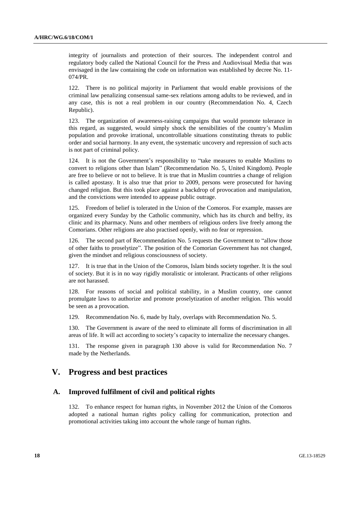integrity of journalists and protection of their sources. The independent control and regulatory body called the National Council for the Press and Audiovisual Media that was envisaged in the law containing the code on information was established by decree No. 11- 074/PR.

122. There is no political majority in Parliament that would enable provisions of the criminal law penalizing consensual same-sex relations among adults to be reviewed, and in any case, this is not a real problem in our country (Recommendation No. 4, Czech Republic).

123. The organization of awareness-raising campaigns that would promote tolerance in this regard, as suggested, would simply shock the sensibilities of the country's Muslim population and provoke irrational, uncontrollable situations constituting threats to public order and social harmony. In any event, the systematic uncovery and repression of such acts is not part of criminal policy.

124. It is not the Government's responsibility to "take measures to enable Muslims to convert to religions other than Islam" (Recommendation No. 5, United Kingdom). People are free to believe or not to believe. It is true that in Muslim countries a change of religion is called apostasy. It is also true that prior to 2009, persons were prosecuted for having changed religion. But this took place against a backdrop of provocation and manipulation, and the convictions were intended to appease public outrage.

125. Freedom of belief is tolerated in the Union of the Comoros. For example, masses are organized every Sunday by the Catholic community, which has its church and belfry, its clinic and its pharmacy. Nuns and other members of religious orders live freely among the Comorians. Other religions are also practised openly, with no fear or repression.

126. The second part of Recommendation No. 5 requests the Government to "allow those of other faiths to proselytize". The position of the Comorian Government has not changed, given the mindset and religious consciousness of society.

127. It is true that in the Union of the Comoros, Islam binds society together. It is the soul of society. But it is in no way rigidly moralistic or intolerant. Practicants of other religions are not harassed.

128. For reasons of social and political stability, in a Muslim country, one cannot promulgate laws to authorize and promote proselytization of another religion. This would be seen as a provocation.

129. Recommendation No. 6, made by Italy, overlaps with Recommendation No. 5.

130. The Government is aware of the need to eliminate all forms of discrimination in all areas of life. It will act according to society's capacity to internalize the necessary changes.

131. The response given in paragraph 130 above is valid for Recommendation No. 7 made by the Netherlands.

# **V. Progress and best practices**

### **A. Improved fulfilment of civil and political rights**

132. To enhance respect for human rights, in November 2012 the Union of the Comoros adopted a national human rights policy calling for communication, protection and promotional activities taking into account the whole range of human rights.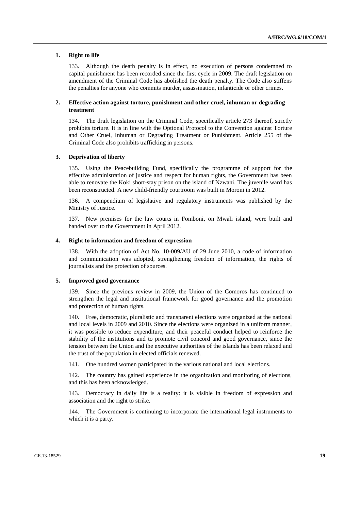### **1. Right to life**

133. Although the death penalty is in effect, no execution of persons condemned to capital punishment has been recorded since the first cycle in 2009. The draft legislation on amendment of the Criminal Code has abolished the death penalty. The Code also stiffens the penalties for anyone who commits murder, assassination, infanticide or other crimes.

### **2. Effective action against torture, punishment and other cruel, inhuman or degrading treatment**

134. The draft legislation on the Criminal Code, specifically article 273 thereof, strictly prohibits torture. It is in line with the Optional Protocol to the Convention against Torture and Other Cruel, Inhuman or Degrading Treatment or Punishment. Article 255 of the Criminal Code also prohibits trafficking in persons.

### **3. Deprivation of liberty**

135. Using the Peacebuilding Fund, specifically the programme of support for the effective administration of justice and respect for human rights, the Government has been able to renovate the Koki short-stay prison on the island of Nzwani. The juvenile ward has been reconstructed. A new child-friendly courtroom was built in Moroni in 2012.

136. A compendium of legislative and regulatory instruments was published by the Ministry of Justice.

137. New premises for the law courts in Fomboni, on Mwali island, were built and handed over to the Government in April 2012.

#### **4. Right to information and freedom of expression**

138. With the adoption of Act No. 10-009/AU of 29 June 2010, a code of information and communication was adopted, strengthening freedom of information, the rights of journalists and the protection of sources.

#### **5. Improved good governance**

139. Since the previous review in 2009, the Union of the Comoros has continued to strengthen the legal and institutional framework for good governance and the promotion and protection of human rights.

140. Free, democratic, pluralistic and transparent elections were organized at the national and local levels in 2009 and 2010. Since the elections were organized in a uniform manner, it was possible to reduce expenditure, and their peaceful conduct helped to reinforce the stability of the institutions and to promote civil concord and good governance, since the tension between the Union and the executive authorities of the islands has been relaxed and the trust of the population in elected officials renewed.

141. One hundred women participated in the various national and local elections.

142. The country has gained experience in the organization and monitoring of elections, and this has been acknowledged.

143. Democracy in daily life is a reality: it is visible in freedom of expression and association and the right to strike.

144. The Government is continuing to incorporate the international legal instruments to which it is a party.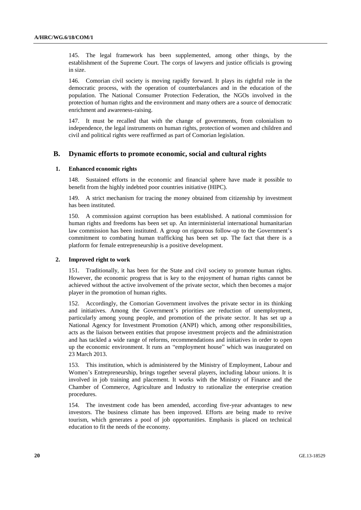145. The legal framework has been supplemented, among other things, by the establishment of the Supreme Court. The corps of lawyers and justice officials is growing in size.

146. Comorian civil society is moving rapidly forward. It plays its rightful role in the democratic process, with the operation of counterbalances and in the education of the population. The National Consumer Protection Federation, the NGOs involved in the protection of human rights and the environment and many others are a source of democratic enrichment and awareness-raising.

147. It must be recalled that with the change of governments, from colonialism to independence, the legal instruments on human rights, protection of women and children and civil and political rights were reaffirmed as part of Comorian legislation.

### **B. Dynamic efforts to promote economic, social and cultural rights**

#### **1. Enhanced economic rights**

148. Sustained efforts in the economic and financial sphere have made it possible to benefit from the highly indebted poor countries initiative (HIPC).

149. A strict mechanism for tracing the money obtained from citizenship by investment has been instituted.

150. A commission against corruption has been established. A national commission for human rights and freedoms has been set up. An interministerial international humanitarian law commission has been instituted. A group on rigourous follow-up to the Government's commitment to combating human trafficking has been set up. The fact that there is a platform for female entrepreneurship is a positive development.

#### **2. Improved right to work**

151. Traditionally, it has been for the State and civil society to promote human rights. However, the economic progress that is key to the enjoyment of human rights cannot be achieved without the active involvement of the private sector, which then becomes a major player in the promotion of human rights.

152. Accordingly, the Comorian Government involves the private sector in its thinking and initiatives. Among the Government's priorities are reduction of unemployment, particularly among young people, and promotion of the private sector. It has set up a National Agency for Investment Promotion (ANPI) which, among other responsibilities, acts as the liaison between entities that propose investment projects and the administration and has tackled a wide range of reforms, recommendations and initiatives in order to open up the economic environment. It runs an "employment house" which was inaugurated on 23 March 2013.

153. This institution, which is administered by the Ministry of Employment, Labour and Women's Entrepreneurship, brings together several players, including labour unions. It is involved in job training and placement. It works with the Ministry of Finance and the Chamber of Commerce, Agriculture and Industry to rationalize the enterprise creation procedures.

154. The investment code has been amended, according five-year advantages to new investors. The business climate has been improved. Efforts are being made to revive tourism, which generates a pool of job opportunities. Emphasis is placed on technical education to fit the needs of the economy.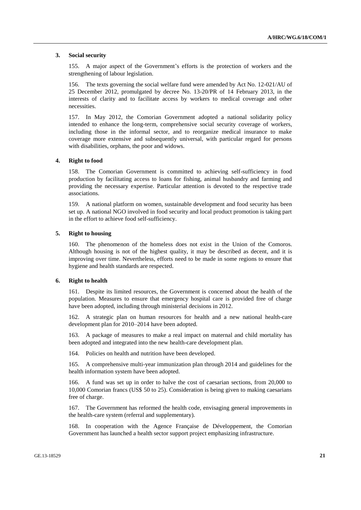#### **3. Social security**

155. A major aspect of the Government's efforts is the protection of workers and the strengthening of labour legislation.

156. The texts governing the social welfare fund were amended by Act No. 12-021/AU of 25 December 2012, promulgated by decree No. 13-20/PR of 14 February 2013, in the interests of clarity and to facilitate access by workers to medical coverage and other necessities.

157. In May 2012, the Comorian Government adopted a national solidarity policy intended to enhance the long-term, comprehensive social security coverage of workers, including those in the informal sector, and to reorganize medical insurance to make coverage more extensive and subsequently universal, with particular regard for persons with disabilities, orphans, the poor and widows.

#### **4. Right to food**

158. The Comorian Government is committed to achieving self-sufficiency in food production by facilitating access to loans for fishing, animal husbandry and farming and providing the necessary expertise. Particular attention is devoted to the respective trade associations.

159. A national platform on women, sustainable development and food security has been set up. A national NGO involved in food security and local product promotion is taking part in the effort to achieve food self-sufficiency.

#### **5. Right to housing**

160. The phenomenon of the homeless does not exist in the Union of the Comoros. Although housing is not of the highest quality, it may be described as decent, and it is improving over time. Nevertheless, efforts need to be made in some regions to ensure that hygiene and health standards are respected.

#### **6. Right to health**

161. Despite its limited resources, the Government is concerned about the health of the population. Measures to ensure that emergency hospital care is provided free of charge have been adopted, including through ministerial decisions in 2012.

162. A strategic plan on human resources for health and a new national health-care development plan for 2010–2014 have been adopted.

163. A package of measures to make a real impact on maternal and child mortality has been adopted and integrated into the new health-care development plan.

164. Policies on health and nutrition have been developed.

165. A comprehensive multi-year immunization plan through 2014 and guidelines for the health information system have been adopted.

166. A fund was set up in order to halve the cost of caesarian sections, from 20,000 to 10,000 Comorian francs (US\$ 50 to 25). Consideration is being given to making caesarians free of charge.

167. The Government has reformed the health code, envisaging general improvements in the health-care system (referral and supplementary).

168. In cooperation with the Agence Française de Développement, the Comorian Government has launched a health sector support project emphasizing infrastructure.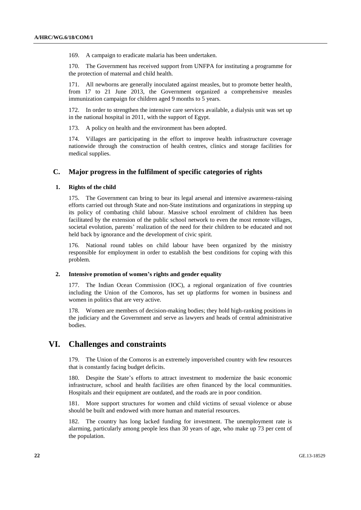169. A campaign to eradicate malaria has been undertaken.

170. The Government has received support from UNFPA for instituting a programme for the protection of maternal and child health.

171. All newborns are generally inoculated against measles, but to promote better health, from 17 to 21 June 2013, the Government organized a comprehensive measles immunization campaign for children aged 9 months to 5 years.

172. In order to strengthen the intensive care services available, a dialysis unit was set up in the national hospital in 2011, with the support of Egypt.

173. A policy on health and the environment has been adopted.

174. Villages are participating in the effort to improve health infrastructure coverage nationwide through the construction of health centres, clinics and storage facilities for medical supplies.

### **C. Major progress in the fulfilment of specific categories of rights**

#### **1. Rights of the child**

175. The Government can bring to bear its legal arsenal and intensive awareness-raising efforts carried out through State and non-State institutions and organizations in stepping up its policy of combating child labour. Massive school enrolment of children has been facilitated by the extension of the public school network to even the most remote villages, societal evolution, parents' realization of the need for their children to be educated and not held back by ignorance and the development of civic spirit.

176. National round tables on child labour have been organized by the ministry responsible for employment in order to establish the best conditions for coping with this problem.

### **2. Intensive promotion of women's rights and gender equality**

177. The Indian Ocean Commission (IOC), a regional organization of five countries including the Union of the Comoros, has set up platforms for women in business and women in politics that are very active.

178. Women are members of decision-making bodies; they hold high-ranking positions in the judiciary and the Government and serve as lawyers and heads of central administrative bodies.

# **VI. Challenges and constraints**

179. The Union of the Comoros is an extremely impoverished country with few resources that is constantly facing budget deficits.

180. Despite the State's efforts to attract investment to modernize the basic economic infrastructure, school and health facilities are often financed by the local communities. Hospitals and their equipment are outdated, and the roads are in poor condition.

181. More support structures for women and child victims of sexual violence or abuse should be built and endowed with more human and material resources.

182. The country has long lacked funding for investment. The unemployment rate is alarming, particularly among people less than 30 years of age, who make up 73 per cent of the population.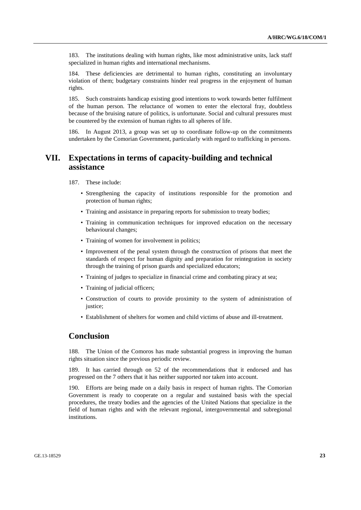183. The institutions dealing with human rights, like most administrative units, lack staff specialized in human rights and international mechanisms.

184. These deficiencies are detrimental to human rights, constituting an involuntary violation of them; budgetary constraints hinder real progress in the enjoyment of human rights.

185. Such constraints handicap existing good intentions to work towards better fulfilment of the human person. The reluctance of women to enter the electoral fray, doubtless because of the bruising nature of politics, is unfortunate. Social and cultural pressures must be countered by the extension of human rights to all spheres of life.

186. In August 2013, a group was set up to coordinate follow-up on the commitments undertaken by the Comorian Government, particularly with regard to trafficking in persons.

# **VII. Expectations in terms of capacity-building and technical assistance**

187. These include:

- Strengthening the capacity of institutions responsible for the promotion and protection of human rights;
- Training and assistance in preparing reports for submission to treaty bodies;
- Training in communication techniques for improved education on the necessary behavioural changes;
- Training of women for involvement in politics;
- Improvement of the penal system through the construction of prisons that meet the standards of respect for human dignity and preparation for reintegration in society through the training of prison guards and specialized educators;
- Training of judges to specialize in financial crime and combating piracy at sea;
- Training of judicial officers;
- Construction of courts to provide proximity to the system of administration of justice;
- Establishment of shelters for women and child victims of abuse and ill-treatment.

# **Conclusion**

188. The Union of the Comoros has made substantial progress in improving the human rights situation since the previous periodic review.

189. It has carried through on 52 of the recommendations that it endorsed and has progressed on the 7 others that it has neither supported nor taken into account.

190. Efforts are being made on a daily basis in respect of human rights. The Comorian Government is ready to cooperate on a regular and sustained basis with the special procedures, the treaty bodies and the agencies of the United Nations that specialize in the field of human rights and with the relevant regional, intergovernmental and subregional institutions.